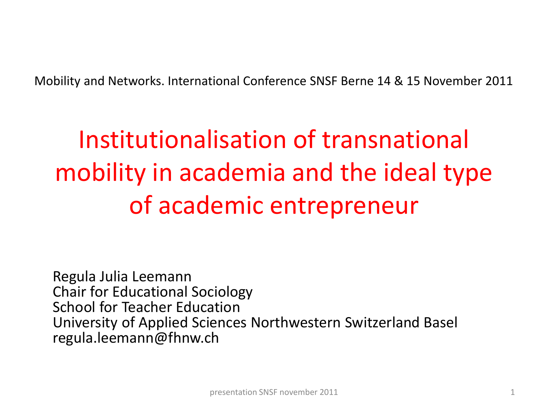Mobility and Networks. International Conference SNSF Berne 14 & 15 November 2011

# Institutionalisation of transnational mobility in academia and the ideal type of academic entrepreneur

Regula Julia Leemann Chair for Educational Sociology School for Teacher Education University of Applied Sciences Northwestern Switzerland Basel regula.leemann@fhnw.ch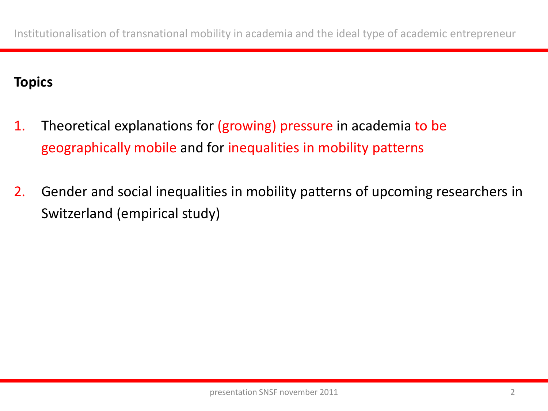## **Topics**

- 1. Theoretical explanations for (growing) pressure in academia to be geographically mobile and for inequalities in mobility patterns
- 2. Gender and social inequalities in mobility patterns of upcoming researchers in Switzerland (empirical study)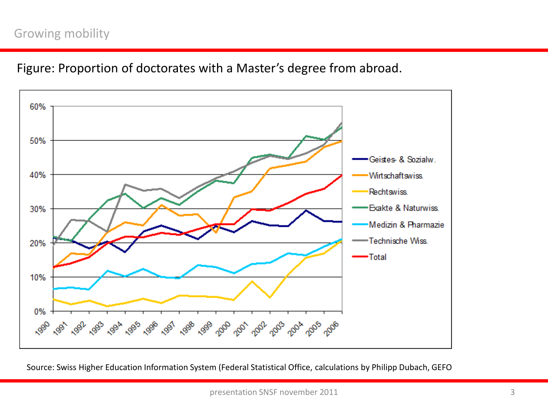#### Growing mobility

Figure: Proportion of doctorates with a Master's degree from abroad.



Source: Swiss Higher Education Information System (Federal Statistical Office, calculations by Philipp Dubach, GEFO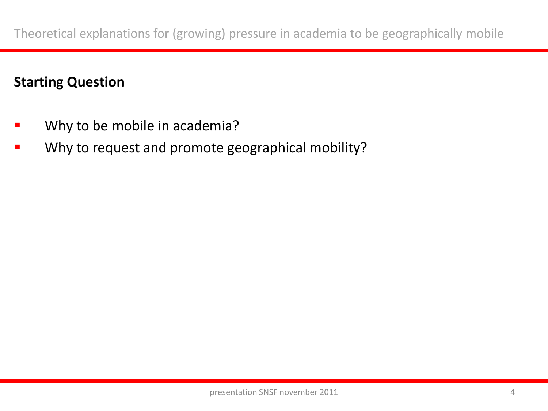# **Starting Question**

- Why to be mobile in academia?
- Why to request and promote geographical mobility?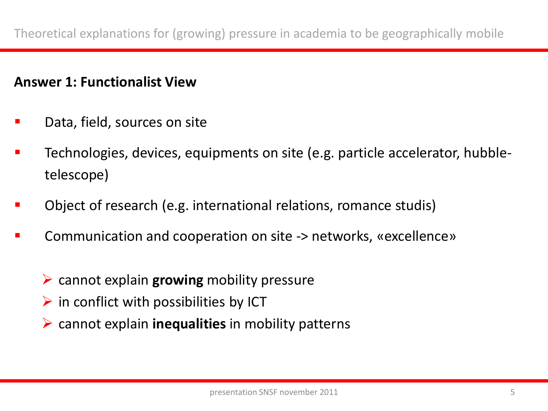#### **Answer 1: Functionalist View**

- Data, field, sources on site
- Technologies, devices, equipments on site (e.g. particle accelerator, hubbletelescope)
- Object of research (e.g. international relations, romance studis)
- Communication and cooperation on site -> networks, «excellence»
	- cannot explain **growing** mobility pressure
	- $\triangleright$  in conflict with possibilities by ICT
	- cannot explain **inequalities** in mobility patterns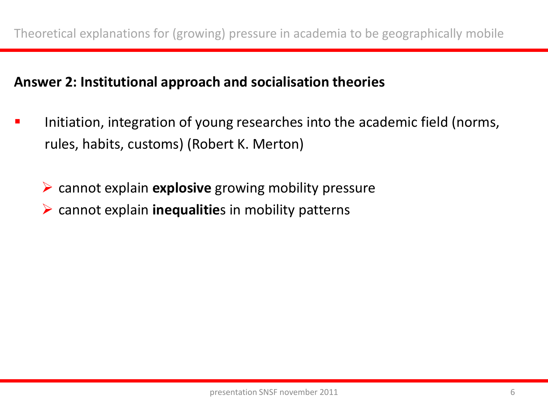### **Answer 2: Institutional approach and socialisation theories**

- Initiation, integration of young researches into the academic field (norms, rules, habits, customs) (Robert K. Merton)
	- cannot explain **explosive** growing mobility pressure
	- cannot explain **inequalitie**s in mobility patterns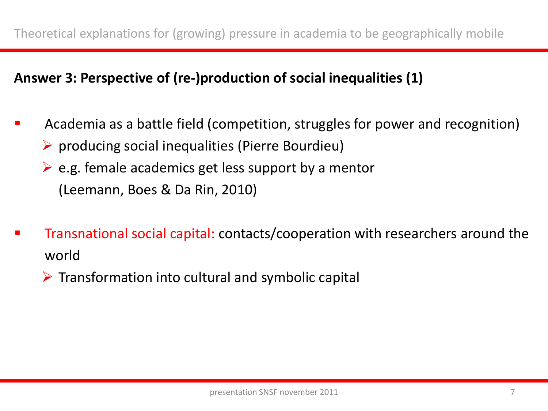# **Answer 3: Perspective of (re-)production of social inequalities (1)**

- Academia as a battle field (competition, struggles for power and recognition)
	- $\triangleright$  producing social inequalities (Pierre Bourdieu)
	- $\triangleright$  e.g. female academics get less support by a mentor (Leemann, Boes & Da Rin, 2010)
- Transnational social capital: contacts/cooperation with researchers around the world
	- $\triangleright$  Transformation into cultural and symbolic capital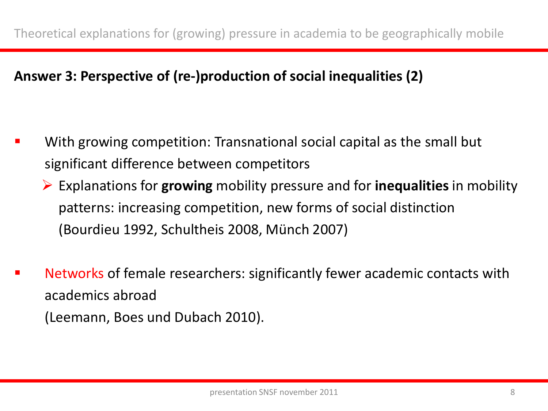# **Answer 3: Perspective of (re-)production of social inequalities (2)**

- With growing competition: Transnational social capital as the small but significant difference between competitors
	- Explanations for **growing** mobility pressure and for **inequalities** in mobility patterns: increasing competition, new forms of social distinction (Bourdieu 1992, Schultheis 2008, Münch 2007)
- Networks of female researchers: significantly fewer academic contacts with academics abroad (Leemann, Boes und Dubach 2010).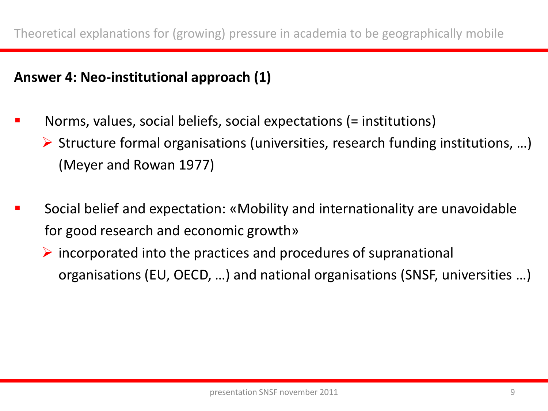## **Answer 4: Neo-institutional approach (1)**

- Norms, values, social beliefs, social expectations (= institutions)
	- $\triangleright$  Structure formal organisations (universities, research funding institutions, ...) (Meyer and Rowan 1977)
- Social belief and expectation: «Mobility and internationality are unavoidable for good research and economic growth»
	- $\triangleright$  incorporated into the practices and procedures of supranational organisations (EU, OECD, …) and national organisations (SNSF, universities …)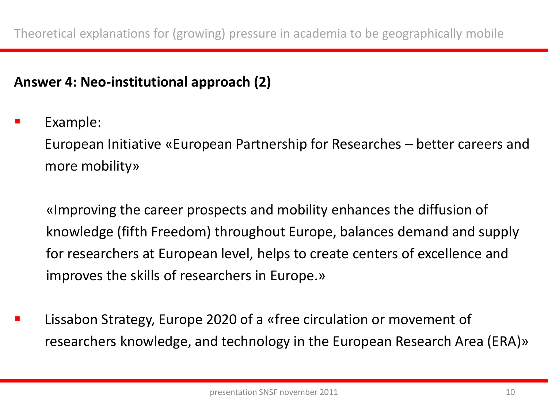# **Answer 4: Neo-institutional approach (2)**

Example:

European Initiative «European Partnership for Researches – better careers and more mobility»

«Improving the career prospects and mobility enhances the diffusion of knowledge (fifth Freedom) throughout Europe, balances demand and supply for researchers at European level, helps to create centers of excellence and improves the skills of researchers in Europe.»

 Lissabon Strategy, Europe 2020 of a «free circulation or movement of researchers knowledge, and technology in the European Research Area (ERA)»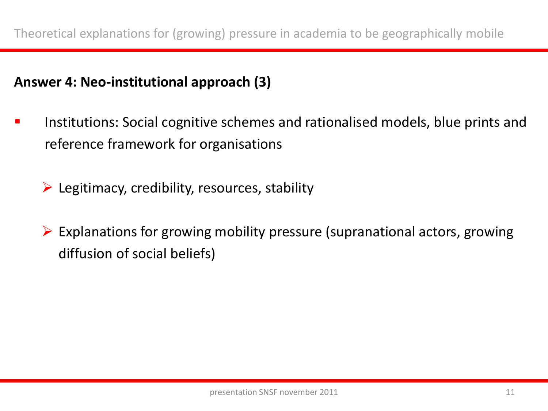## **Answer 4: Neo-institutional approach (3)**

- Institutions: Social cognitive schemes and rationalised models, blue prints and reference framework for organisations
	- $\triangleright$  Legitimacy, credibility, resources, stability
	- $\triangleright$  Explanations for growing mobility pressure (supranational actors, growing diffusion of social beliefs)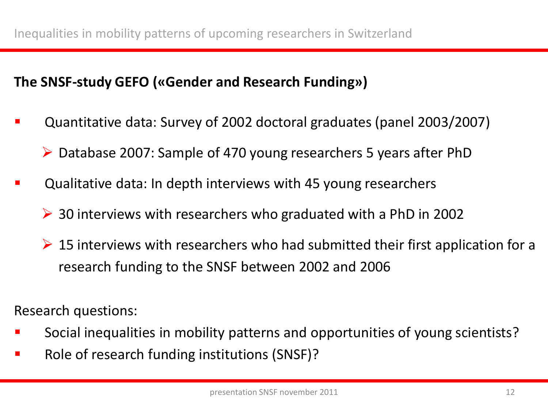#### **The SNSF-study GEFO («Gender and Research Funding»)**

- Quantitative data: Survey of 2002 doctoral graduates (panel 2003/2007)
	- Database 2007: Sample of 470 young researchers 5 years after PhD
- Qualitative data: In depth interviews with 45 young researchers
	- 30 interviews with researchers who graduated with a PhD in 2002
	- $\triangleright$  15 interviews with researchers who had submitted their first application for a research funding to the SNSF between 2002 and 2006

Research questions:

- Social inequalities in mobility patterns and opportunities of young scientists?
- Role of research funding institutions (SNSF)?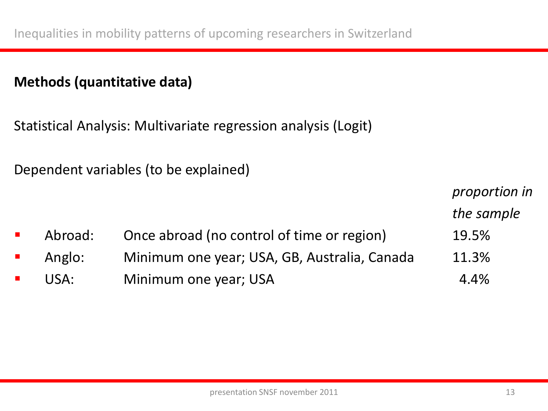### **Methods (quantitative data)**

Statistical Analysis: Multivariate regression analysis (Logit)

Dependent variables (to be explained)

|                             |         |                                              | proportion in |
|-----------------------------|---------|----------------------------------------------|---------------|
|                             |         |                                              | the sample    |
|                             | Abroad: | Once abroad (no control of time or region)   | 19.5%         |
| $\mathcal{L}_{\mathcal{A}}$ | Anglo:  | Minimum one year; USA, GB, Australia, Canada | 11.3%         |
|                             | USA:    | Minimum one year; USA                        | 4.4%          |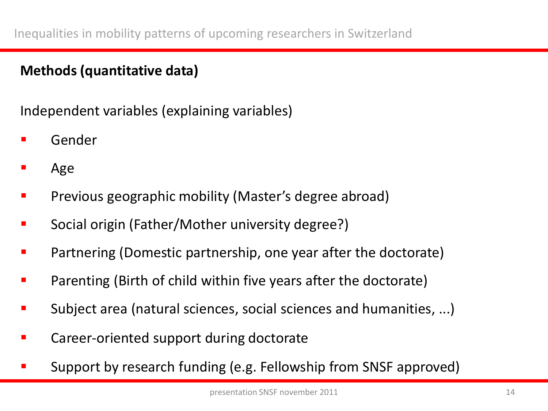# **Methods (quantitative data)**

Independent variables (explaining variables)

- Gender
- Age
- Previous geographic mobility (Master's degree abroad)
- Social origin (Father/Mother university degree?)
- Partnering (Domestic partnership, one year after the doctorate)
- Parenting (Birth of child within five years after the doctorate)
- Subject area (natural sciences, social sciences and humanities, ...)
- Career-oriented support during doctorate
- Support by research funding (e.g. Fellowship from SNSF approved)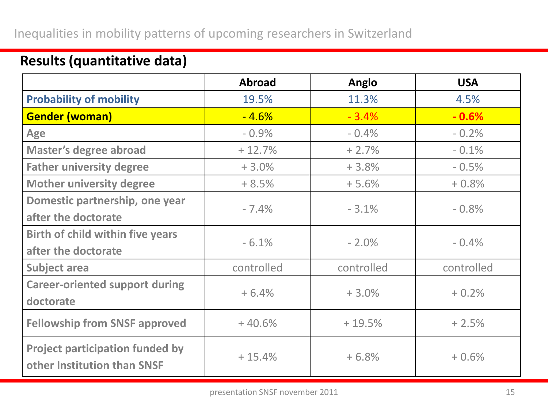#### Inequalities in mobility patterns of upcoming researchers in Switzerland

|                                                                       | <b>Abroad</b> | Anglo      | <b>USA</b> |
|-----------------------------------------------------------------------|---------------|------------|------------|
| <b>Probability of mobility</b>                                        | 19.5%         | 11.3%      | 4.5%       |
| <b>Gender (woman)</b>                                                 | $-4.6%$       | $-3.4%$    | $-0.6%$    |
| <b>Age</b>                                                            | $-0.9%$       | $-0.4%$    | $-0.2%$    |
| Master's degree abroad                                                | $+12.7%$      | $+2.7%$    | $-0.1%$    |
| <b>Father university degree</b>                                       | $+3.0%$       | $+3.8%$    | $-0.5%$    |
| <b>Mother university degree</b>                                       | $+8.5%$       | $+5.6%$    | $+0.8%$    |
| Domestic partnership, one year                                        |               | $-3.1%$    |            |
| after the doctorate                                                   | $-7.4%$       |            | $-0.8%$    |
| <b>Birth of child within five years</b>                               | $-6.1%$       | $-2.0%$    | $-0.4%$    |
| after the doctorate                                                   |               |            |            |
| <b>Subject area</b>                                                   | controlled    | controlled | controlled |
| <b>Career-oriented support during</b>                                 | $+6.4%$       | $+3.0%$    | $+0.2%$    |
| doctorate                                                             |               |            |            |
| <b>Fellowship from SNSF approved</b>                                  | $+40.6%$      | $+19.5%$   | $+2.5%$    |
| <b>Project participation funded by</b><br>other Institution than SNSF | $+15.4%$      | $+6.8%$    | $+0.6%$    |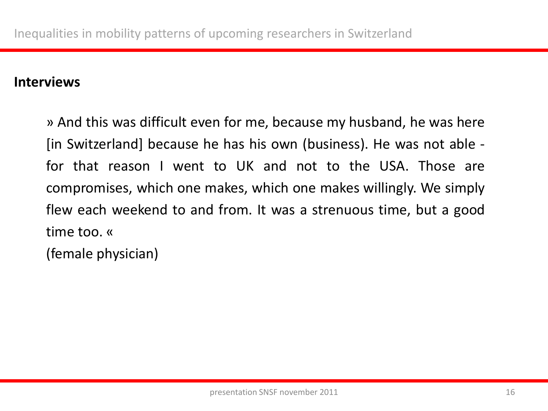#### **Interviews**

» And this was difficult even for me, because my husband, he was here [in Switzerland] because he has his own (business). He was not able for that reason I went to UK and not to the USA. Those are compromises, which one makes, which one makes willingly. We simply flew each weekend to and from. It was a strenuous time, but a good time too. «

(female physician)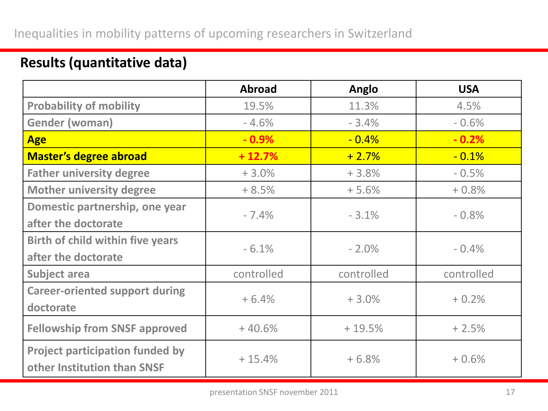|                                                                       | <b>Abroad</b> | Anglo      | <b>USA</b> |
|-----------------------------------------------------------------------|---------------|------------|------------|
| <b>Probability of mobility</b>                                        | 19.5%         | 11.3%      | 4.5%       |
| <b>Gender (woman)</b>                                                 | $-4.6%$       | $-3.4%$    | $-0.6%$    |
| <b>Age</b>                                                            | $-0.9\%$      | $-0.4%$    | $-0.2%$    |
| <b>Master's degree abroad</b>                                         | $+12.7%$      | $+2.7%$    | $-0.1%$    |
| <b>Father university degree</b>                                       | $+3.0%$       | $+3.8%$    | $-0.5%$    |
| <b>Mother university degree</b>                                       | $+8.5%$       | $+5.6%$    | $+0.8%$    |
| Domestic partnership, one year                                        | $-7.4%$       | $-3.1%$    | $-0.8%$    |
| after the doctorate                                                   |               |            |            |
| <b>Birth of child within five years</b>                               | $-6.1%$       | $-2.0%$    | $-0.4%$    |
| after the doctorate                                                   |               |            |            |
| <b>Subject area</b>                                                   | controlled    | controlled | controlled |
| <b>Career-oriented support during</b>                                 | $+6.4%$       | $+3.0%$    | $+0.2%$    |
| doctorate                                                             |               |            |            |
| <b>Fellowship from SNSF approved</b>                                  | $+40.6%$      | $+19.5%$   | $+2.5%$    |
| <b>Project participation funded by</b><br>other Institution than SNSF | $+15.4%$      | $+6.8%$    | $+0.6%$    |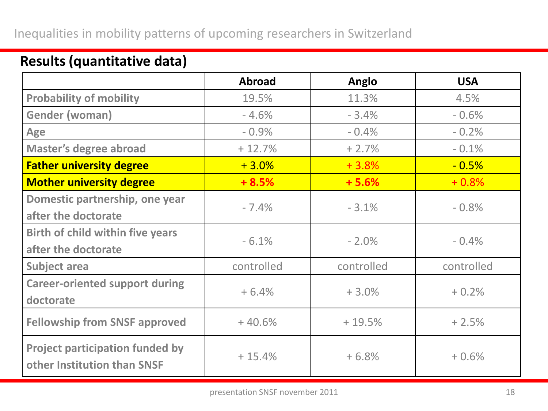#### Inequalities in mobility patterns of upcoming researchers in Switzerland

|                                                                       | <b>Abroad</b> | Anglo      | <b>USA</b> |
|-----------------------------------------------------------------------|---------------|------------|------------|
| <b>Probability of mobility</b>                                        | 19.5%         | 11.3%      | 4.5%       |
| <b>Gender (woman)</b>                                                 | $-4.6%$       | $-3.4%$    | $-0.6%$    |
| <b>Age</b>                                                            | $-0.9%$       | $-0.4%$    | $-0.2%$    |
| <b>Master's degree abroad</b>                                         | $+12.7%$      | $+2.7%$    | $-0.1%$    |
| <b>Father university degree</b>                                       | $+3.0%$       | $+3.8%$    | $-0.5%$    |
| <b>Mother university degree</b>                                       | $+8.5%$       | $+5.6%$    | $+0.8%$    |
| Domestic partnership, one year                                        | $-7.4%$       | $-3.1%$    | $-0.8%$    |
| after the doctorate                                                   |               |            |            |
| <b>Birth of child within five years</b>                               | $-6.1%$       | $-2.0%$    | $-0.4%$    |
| after the doctorate                                                   |               |            |            |
| <b>Subject area</b>                                                   | controlled    | controlled | controlled |
| <b>Career-oriented support during</b>                                 | $+6.4%$       | $+3.0%$    | $+0.2%$    |
| doctorate                                                             |               |            |            |
| <b>Fellowship from SNSF approved</b>                                  | $+40.6%$      | $+19.5%$   | $+2.5%$    |
| <b>Project participation funded by</b><br>other Institution than SNSF | $+15.4%$      | $+6.8%$    | $+0.6%$    |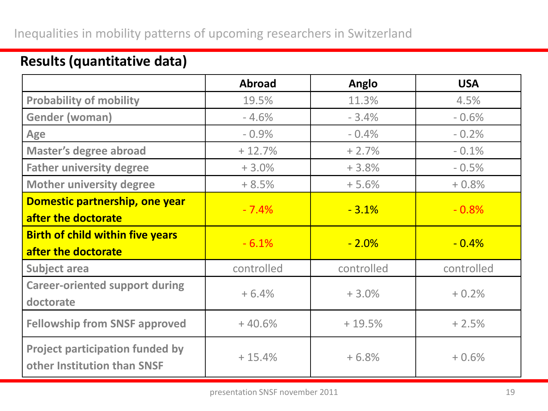|                                                                       | <b>Abroad</b> | Anglo      | <b>USA</b> |
|-----------------------------------------------------------------------|---------------|------------|------------|
| <b>Probability of mobility</b>                                        | 19.5%         | 11.3%      | 4.5%       |
| Gender (woman)                                                        | $-4.6%$       | $-3.4%$    | $-0.6%$    |
| <b>Age</b>                                                            | $-0.9%$       | $-0.4%$    | $-0.2%$    |
| <b>Master's degree abroad</b>                                         | $+12.7%$      | $+2.7%$    | $-0.1%$    |
| <b>Father university degree</b>                                       | $+3.0%$       | $+3.8%$    | $-0.5%$    |
| <b>Mother university degree</b>                                       | $+8.5%$       | $+5.6%$    | $+0.8%$    |
| Domestic partnership, one year<br>after the doctorate                 | $-7.4%$       | $-3.1%$    | $-0.8%$    |
| <b>Birth of child within five years</b><br>after the doctorate        | $-6.1%$       | $-2.0\%$   | $-0.4%$    |
| <b>Subject area</b>                                                   | controlled    | controlled | controlled |
| <b>Career-oriented support during</b><br>doctorate                    | $+6.4%$       | $+3.0%$    | $+0.2%$    |
| <b>Fellowship from SNSF approved</b>                                  | $+40.6%$      | $+19.5%$   | $+2.5%$    |
| <b>Project participation funded by</b><br>other Institution than SNSF | $+15.4%$      | $+6.8%$    | $+0.6%$    |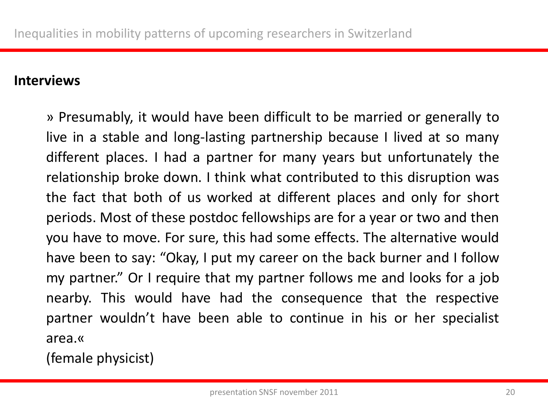#### **Interviews**

» Presumably, it would have been difficult to be married or generally to live in a stable and long-lasting partnership because I lived at so many different places. I had a partner for many years but unfortunately the relationship broke down. I think what contributed to this disruption was the fact that both of us worked at different places and only for short periods. Most of these postdoc fellowships are for a year or two and then you have to move. For sure, this had some effects. The alternative would have been to say: "Okay, I put my career on the back burner and I follow my partner." Or I require that my partner follows me and looks for a job nearby. This would have had the consequence that the respective partner wouldn't have been able to continue in his or her specialist area.«

(female physicist)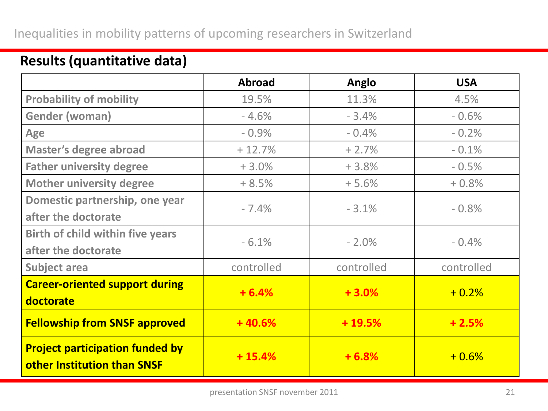#### Inequalities in mobility patterns of upcoming researchers in Switzerland

|                                                                       | <b>Abroad</b> | Anglo      | <b>USA</b> |
|-----------------------------------------------------------------------|---------------|------------|------------|
| <b>Probability of mobility</b>                                        | 19.5%         | 11.3%      | 4.5%       |
| <b>Gender (woman)</b>                                                 | $-4.6%$       | $-3.4%$    | $-0.6%$    |
| Age                                                                   | $-0.9%$       | $-0.4%$    | $-0.2%$    |
| <b>Master's degree abroad</b>                                         | $+12.7%$      | $+2.7%$    | $-0.1%$    |
| <b>Father university degree</b>                                       | $+3.0%$       | $+3.8%$    | $-0.5%$    |
| <b>Mother university degree</b>                                       | $+8.5%$       | $+5.6%$    | $+0.8%$    |
| Domestic partnership, one year                                        | $-7.4%$       | $-3.1%$    | $-0.8%$    |
| after the doctorate                                                   |               |            |            |
| <b>Birth of child within five years</b>                               | $-6.1%$       | $-2.0%$    | $-0.4%$    |
| after the doctorate                                                   |               |            |            |
| <b>Subject area</b>                                                   | controlled    | controlled | controlled |
| <b>Career-oriented support during</b>                                 | $+6.4%$       | $+3.0%$    | $+0.2%$    |
| doctorate                                                             |               |            |            |
| <b>Fellowship from SNSF approved</b>                                  | $+40.6%$      | $+19.5%$   | $+2.5%$    |
| <b>Project participation funded by</b><br>other Institution than SNSF | $+15.4%$      | $+6.8%$    | $+0.6%$    |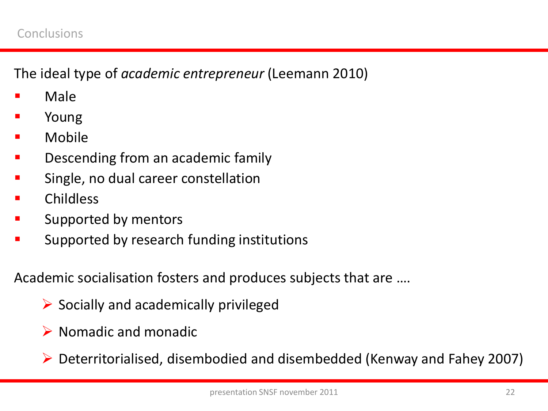The ideal type of *academic entrepreneur* (Leemann 2010)

- Male
- Young
- Mobile
- Descending from an academic family
- Single, no dual career constellation
- Childless
- Supported by mentors
- Supported by research funding institutions

Academic socialisation fosters and produces subjects that are ….

- $\triangleright$  Socially and academically privileged
- $\triangleright$  Nomadic and monadic
- Deterritorialised, disembodied and disembedded (Kenway and Fahey 2007)